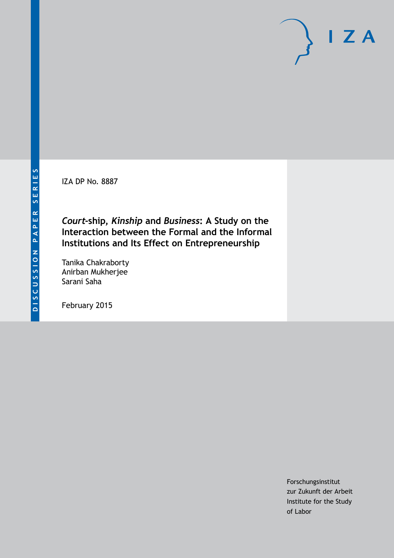IZA DP No. 8887

*Court***-ship,** *Kinship* **and** *Business***: A Study on the Interaction between the Formal and the Informal Institutions and Its Effect on Entrepreneurship**

Tanika Chakraborty Anirban Mukherjee Sarani Saha

February 2015

Forschungsinstitut zur Zukunft der Arbeit Institute for the Study of Labor

 $I Z A$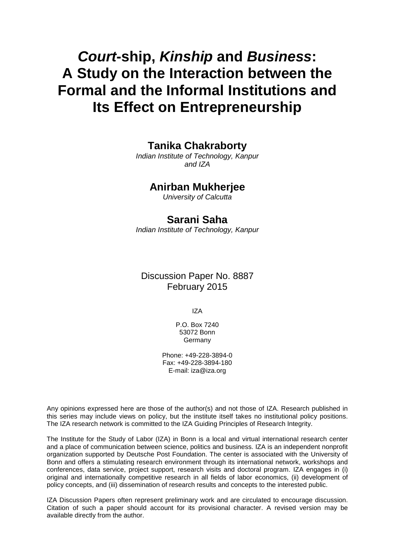# *Court***-ship,** *Kinship* **and** *Business***: A Study on the Interaction between the Formal and the Informal Institutions and Its Effect on Entrepreneurship**

**Tanika Chakraborty**

*Indian Institute of Technology, Kanpur and IZA*

### **Anirban Mukherjee**

*University of Calcutta*

## **Sarani Saha**

*Indian Institute of Technology, Kanpur*

# Discussion Paper No. 8887 February 2015

IZA

P.O. Box 7240 53072 Bonn Germany

Phone: +49-228-3894-0 Fax: +49-228-3894-180 E-mail: [iza@iza.org](mailto:iza@iza.org)

Any opinions expressed here are those of the author(s) and not those of IZA. Research published in this series may include views on policy, but the institute itself takes no institutional policy positions. The IZA research network is committed to the IZA Guiding Principles of Research Integrity.

The Institute for the Study of Labor (IZA) in Bonn is a local and virtual international research center and a place of communication between science, politics and business. IZA is an independent nonprofit organization supported by Deutsche Post Foundation. The center is associated with the University of Bonn and offers a stimulating research environment through its international network, workshops and conferences, data service, project support, research visits and doctoral program. IZA engages in (i) original and internationally competitive research in all fields of labor economics, (ii) development of policy concepts, and (iii) dissemination of research results and concepts to the interested public.

<span id="page-1-0"></span>IZA Discussion Papers often represent preliminary work and are circulated to encourage discussion. Citation of such a paper should account for its provisional character. A revised version may be available directly from the author.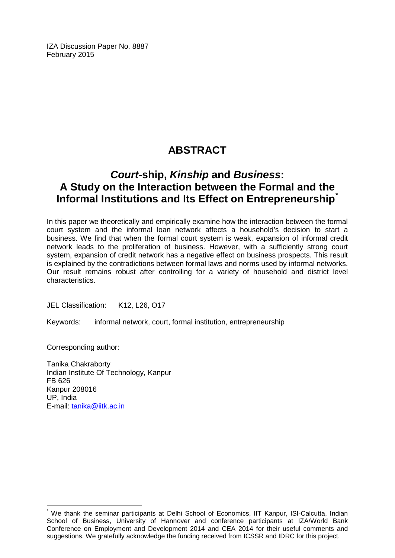IZA Discussion Paper No. 8887 February 2015

# **ABSTRACT**

# *Court***-ship,** *Kinship* **and** *Business***: A Study on the Interaction between the Formal and the Informal Institutions and Its Effect on Entrepreneurship[\\*](#page-1-0)**

In this paper we theoretically and empirically examine how the interaction between the formal court system and the informal loan network affects a household's decision to start a business. We find that when the formal court system is weak, expansion of informal credit network leads to the proliferation of business. However, with a sufficiently strong court system, expansion of credit network has a negative effect on business prospects. This result is explained by the contradictions between formal laws and norms used by informal networks. Our result remains robust after controlling for a variety of household and district level characteristics.

JEL Classification: K12, L26, O17

Keywords: informal network, court, formal institution, entrepreneurship

Corresponding author:

Tanika Chakraborty Indian Institute Of Technology, Kanpur FB 626 Kanpur 208016 UP, India E-mail: [tanika@iitk.ac.in](mailto:tanika@iitk.ac.in)

We thank the seminar participants at Delhi School of Economics, IIT Kanpur, ISI-Calcutta, Indian School of Business, University of Hannover and conference participants at IZA/World Bank Conference on Employment and Development 2014 and CEA 2014 for their useful comments and suggestions. We gratefully acknowledge the funding received from ICSSR and IDRC for this project.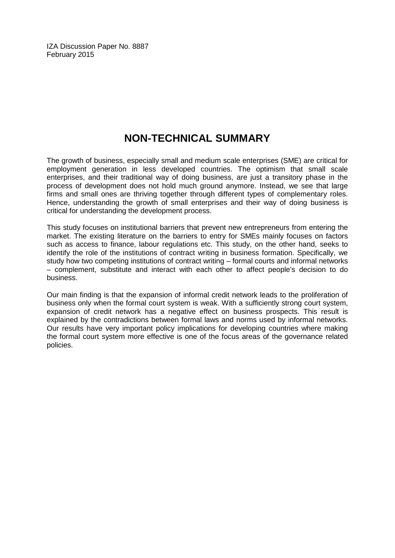IZA Discussion Paper No. 8887 February 2015

# **NON-TECHNICAL SUMMARY**

The growth of business, especially small and medium scale enterprises (SME) are critical for employment generation in less developed countries. The optimism that small scale enterprises, and their traditional way of doing business, are just a transitory phase in the process of development does not hold much ground anymore. Instead, we see that large firms and small ones are thriving together through different types of complementary roles. Hence, understanding the growth of small enterprises and their way of doing business is critical for understanding the development process.

This study focuses on institutional barriers that prevent new entrepreneurs from entering the market. The existing literature on the barriers to entry for SMEs mainly focuses on factors such as access to finance, labour regulations etc. This study, on the other hand, seeks to identify the role of the institutions of contract writing in business formation. Specifically, we study how two competing institutions of contract writing – formal courts and informal networks – complement, substitute and interact with each other to affect people's decision to do business.

Our main finding is that the expansion of informal credit network leads to the proliferation of business only when the formal court system is weak. With a sufficiently strong court system, expansion of credit network has a negative effect on business prospects. This result is explained by the contradictions between formal laws and norms used by informal networks. Our results have very important policy implications for developing countries where making the formal court system more effective is one of the focus areas of the governance related policies.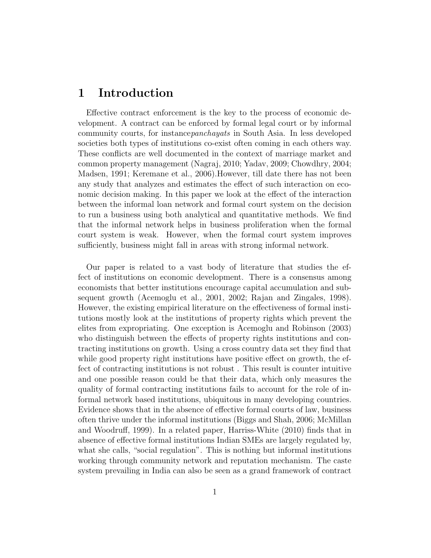# 1 Introduction

Effective contract enforcement is the key to the process of economic development. A contract can be enforced by formal legal court or by informal community courts, for instancepanchayats in South Asia. In less developed societies both types of institutions co-exist often coming in each others way. These conflicts are well documented in the context of marriage market and common property management (Nagraj, 2010; Yadav, 2009; Chowdhry, 2004; Madsen, 1991; Keremane et al., 2006).However, till date there has not been any study that analyzes and estimates the effect of such interaction on economic decision making. In this paper we look at the effect of the interaction between the informal loan network and formal court system on the decision to run a business using both analytical and quantitative methods. We find that the informal network helps in business proliferation when the formal court system is weak. However, when the formal court system improves sufficiently, business might fall in areas with strong informal network.

Our paper is related to a vast body of literature that studies the effect of institutions on economic development. There is a consensus among economists that better institutions encourage capital accumulation and subsequent growth (Acemoglu et al., 2001, 2002; Rajan and Zingales, 1998). However, the existing empirical literature on the effectiveness of formal institutions mostly look at the institutions of property rights which prevent the elites from expropriating. One exception is Acemoglu and Robinson (2003) who distinguish between the effects of property rights institutions and contracting institutions on growth. Using a cross country data set they find that while good property right institutions have positive effect on growth, the effect of contracting institutions is not robust . This result is counter intuitive and one possible reason could be that their data, which only measures the quality of formal contracting institutions fails to account for the role of informal network based institutions, ubiquitous in many developing countries. Evidence shows that in the absence of effective formal courts of law, business often thrive under the informal institutions (Biggs and Shah, 2006; McMillan and Woodruff, 1999). In a related paper, Harriss-White (2010) finds that in absence of effective formal institutions Indian SMEs are largely regulated by, what she calls, "social regulation". This is nothing but informal institutions working through community network and reputation mechanism. The caste system prevailing in India can also be seen as a grand framework of contract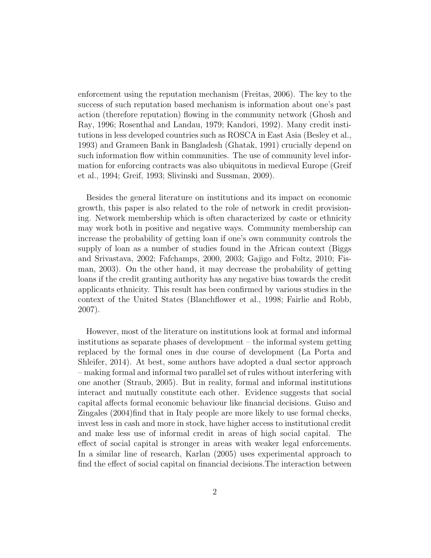enforcement using the reputation mechanism (Freitas, 2006). The key to the success of such reputation based mechanism is information about one's past action (therefore reputation) flowing in the community network (Ghosh and Ray, 1996; Rosenthal and Landau, 1979; Kandori, 1992). Many credit institutions in less developed countries such as ROSCA in East Asia (Besley et al., 1993) and Grameen Bank in Bangladesh (Ghatak, 1991) crucially depend on such information flow within communities. The use of community level information for enforcing contracts was also ubiquitous in medieval Europe (Greif et al., 1994; Greif, 1993; Slivinski and Sussman, 2009).

Besides the general literature on institutions and its impact on economic growth, this paper is also related to the role of network in credit provisioning. Network membership which is often characterized by caste or ethnicity may work both in positive and negative ways. Community membership can increase the probability of getting loan if one's own community controls the supply of loan as a number of studies found in the African context (Biggs and Srivastava, 2002; Fafchamps, 2000, 2003; Gajigo and Foltz, 2010; Fisman, 2003). On the other hand, it may decrease the probability of getting loans if the credit granting authority has any negative bias towards the credit applicants ethnicity. This result has been confirmed by various studies in the context of the United States (Blanchflower et al., 1998; Fairlie and Robb, 2007).

However, most of the literature on institutions look at formal and informal institutions as separate phases of development – the informal system getting replaced by the formal ones in due course of development (La Porta and Shleifer, 2014). At best, some authors have adopted a dual sector approach – making formal and informal two parallel set of rules without interfering with one another (Straub, 2005). But in reality, formal and informal institutions interact and mutually constitute each other. Evidence suggests that social capital affects formal economic behaviour like financial decisions. Guiso and Zingales (2004)find that in Italy people are more likely to use formal checks, invest less in cash and more in stock, have higher access to institutional credit and make less use of informal credit in areas of high social capital. The effect of social capital is stronger in areas with weaker legal enforcements. In a similar line of research, Karlan (2005) uses experimental approach to find the effect of social capital on financial decisions.The interaction between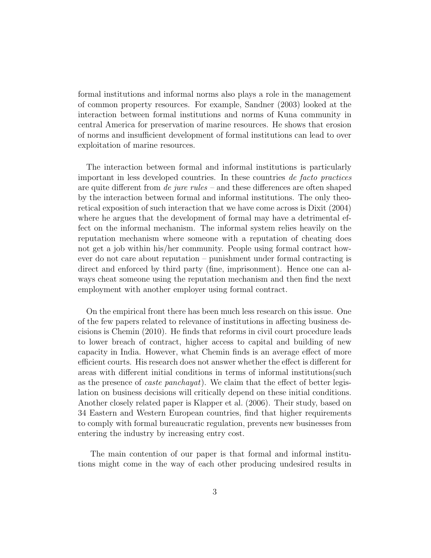formal institutions and informal norms also plays a role in the management of common property resources. For example, Sandner (2003) looked at the interaction between formal institutions and norms of Kuna community in central America for preservation of marine resources. He shows that erosion of norms and insufficient development of formal institutions can lead to over exploitation of marine resources.

The interaction between formal and informal institutions is particularly important in less developed countries. In these countries de facto practices are quite different from *de jure rules* – and these differences are often shaped by the interaction between formal and informal institutions. The only theoretical exposition of such interaction that we have come across is Dixit (2004) where he argues that the development of formal may have a detrimental effect on the informal mechanism. The informal system relies heavily on the reputation mechanism where someone with a reputation of cheating does not get a job within his/her community. People using formal contract however do not care about reputation – punishment under formal contracting is direct and enforced by third party (fine, imprisonment). Hence one can always cheat someone using the reputation mechanism and then find the next employment with another employer using formal contract.

On the empirical front there has been much less research on this issue. One of the few papers related to relevance of institutions in affecting business decisions is Chemin (2010). He finds that reforms in civil court procedure leads to lower breach of contract, higher access to capital and building of new capacity in India. However, what Chemin finds is an average effect of more efficient courts. His research does not answer whether the effect is different for areas with different initial conditions in terms of informal institutions(such as the presence of caste panchayat). We claim that the effect of better legislation on business decisions will critically depend on these initial conditions. Another closely related paper is Klapper et al. (2006). Their study, based on 34 Eastern and Western European countries, find that higher requirements to comply with formal bureaucratic regulation, prevents new businesses from entering the industry by increasing entry cost.

The main contention of our paper is that formal and informal institutions might come in the way of each other producing undesired results in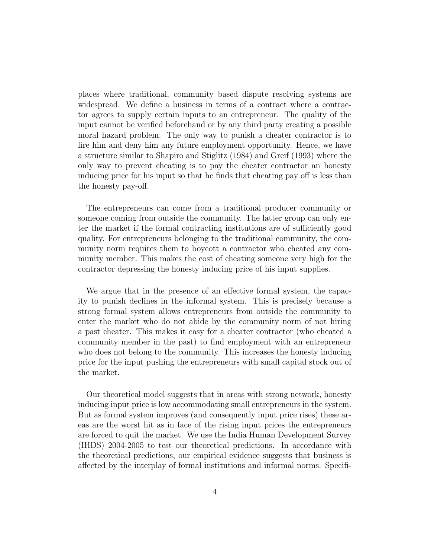places where traditional, community based dispute resolving systems are widespread. We define a business in terms of a contract where a contractor agrees to supply certain inputs to an entrepreneur. The quality of the input cannot be verified beforehand or by any third party creating a possible moral hazard problem. The only way to punish a cheater contractor is to fire him and deny him any future employment opportunity. Hence, we have a structure similar to Shapiro and Stiglitz (1984) and Greif (1993) where the only way to prevent cheating is to pay the cheater contractor an honesty inducing price for his input so that he finds that cheating pay off is less than the honesty pay-off.

The entrepreneurs can come from a traditional producer community or someone coming from outside the community. The latter group can only enter the market if the formal contracting institutions are of sufficiently good quality. For entrepreneurs belonging to the traditional community, the community norm requires them to boycott a contractor who cheated any community member. This makes the cost of cheating someone very high for the contractor depressing the honesty inducing price of his input supplies.

We argue that in the presence of an effective formal system, the capacity to punish declines in the informal system. This is precisely because a strong formal system allows entrepreneurs from outside the community to enter the market who do not abide by the community norm of not hiring a past cheater. This makes it easy for a cheater contractor (who cheated a community member in the past) to find employment with an entrepreneur who does not belong to the community. This increases the honesty inducing price for the input pushing the entrepreneurs with small capital stock out of the market.

Our theoretical model suggests that in areas with strong network, honesty inducing input price is low accommodating small entrepreneurs in the system. But as formal system improves (and consequently input price rises) these areas are the worst hit as in face of the rising input prices the entrepreneurs are forced to quit the market. We use the India Human Development Survey (IHDS) 2004-2005 to test our theoretical predictions. In accordance with the theoretical predictions, our empirical evidence suggests that business is affected by the interplay of formal institutions and informal norms. Specifi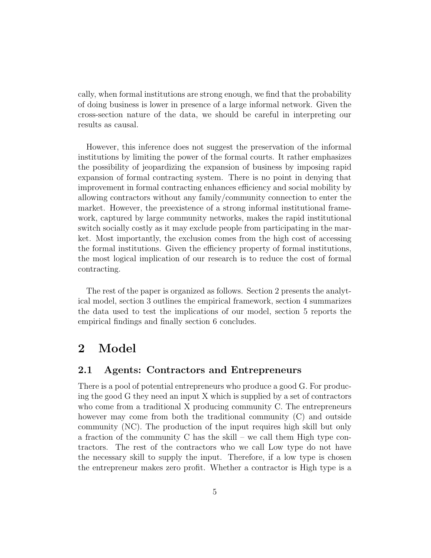cally, when formal institutions are strong enough, we find that the probability of doing business is lower in presence of a large informal network. Given the cross-section nature of the data, we should be careful in interpreting our results as causal.

However, this inference does not suggest the preservation of the informal institutions by limiting the power of the formal courts. It rather emphasizes the possibility of jeopardizing the expansion of business by imposing rapid expansion of formal contracting system. There is no point in denying that improvement in formal contracting enhances efficiency and social mobility by allowing contractors without any family/community connection to enter the market. However, the preexistence of a strong informal institutional framework, captured by large community networks, makes the rapid institutional switch socially costly as it may exclude people from participating in the market. Most importantly, the exclusion comes from the high cost of accessing the formal institutions. Given the efficiency property of formal institutions, the most logical implication of our research is to reduce the cost of formal contracting.

The rest of the paper is organized as follows. Section 2 presents the analytical model, section 3 outlines the empirical framework, section 4 summarizes the data used to test the implications of our model, section 5 reports the empirical findings and finally section 6 concludes.

# 2 Model

#### 2.1 Agents: Contractors and Entrepreneurs

There is a pool of potential entrepreneurs who produce a good G. For producing the good G they need an input X which is supplied by a set of contractors who come from a traditional X producing community C. The entrepreneurs however may come from both the traditional community (C) and outside community (NC). The production of the input requires high skill but only a fraction of the community C has the skill – we call them High type contractors. The rest of the contractors who we call Low type do not have the necessary skill to supply the input. Therefore, if a low type is chosen the entrepreneur makes zero profit. Whether a contractor is High type is a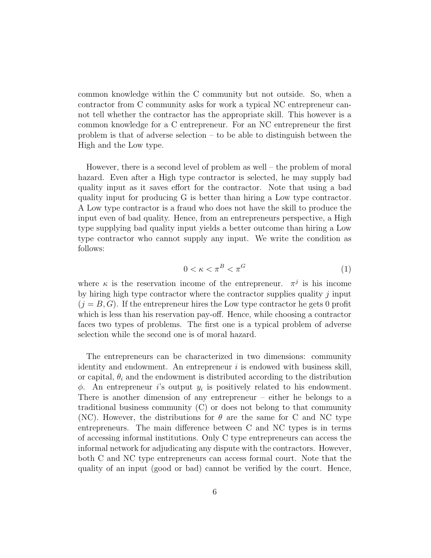common knowledge within the C community but not outside. So, when a contractor from C community asks for work a typical NC entrepreneur cannot tell whether the contractor has the appropriate skill. This however is a common knowledge for a C entrepreneur. For an NC entrepreneur the first problem is that of adverse selection – to be able to distinguish between the High and the Low type.

However, there is a second level of problem as well – the problem of moral hazard. Even after a High type contractor is selected, he may supply bad quality input as it saves effort for the contractor. Note that using a bad quality input for producing G is better than hiring a Low type contractor. A Low type contractor is a fraud who does not have the skill to produce the input even of bad quality. Hence, from an entrepreneurs perspective, a High type supplying bad quality input yields a better outcome than hiring a Low type contractor who cannot supply any input. We write the condition as follows:

$$
0 < \kappa < \pi^B < \pi^G \tag{1}
$$

where  $\kappa$  is the reservation income of the entrepreneur.  $\pi^{j}$  is his income by hiring high type contractor where the contractor supplies quality  $\dot{\eta}$  input  $(j = B, G)$ . If the entrepreneur hires the Low type contractor he gets 0 profit which is less than his reservation pay-off. Hence, while choosing a contractor faces two types of problems. The first one is a typical problem of adverse selection while the second one is of moral hazard.

The entrepreneurs can be characterized in two dimensions: community identity and endowment. An entrepreneur  $i$  is endowed with business skill, or capital,  $\theta_i$  and the endowment is distributed according to the distribution  $\phi$ . An entrepreneur *i*'s output  $y_i$  is positively related to his endowment. There is another dimension of any entrepreneur – either he belongs to a traditional business community (C) or does not belong to that community (NC). However, the distributions for  $\theta$  are the same for C and NC type entrepreneurs. The main difference between C and NC types is in terms of accessing informal institutions. Only C type entrepreneurs can access the informal network for adjudicating any dispute with the contractors. However, both C and NC type entrepreneurs can access formal court. Note that the quality of an input (good or bad) cannot be verified by the court. Hence,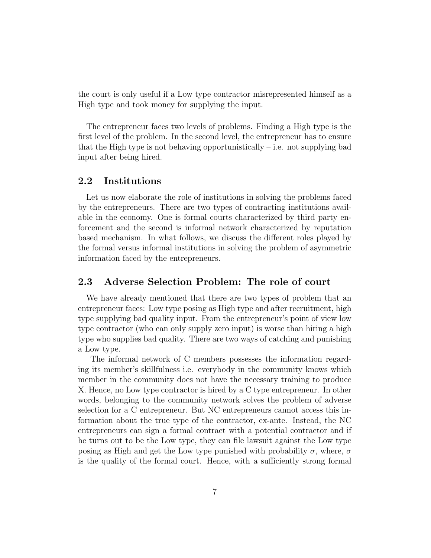the court is only useful if a Low type contractor misrepresented himself as a High type and took money for supplying the input.

The entrepreneur faces two levels of problems. Finding a High type is the first level of the problem. In the second level, the entrepreneur has to ensure that the High type is not behaving opportunistically  $-$  i.e. not supplying bad input after being hired.

#### 2.2 Institutions

Let us now elaborate the role of institutions in solving the problems faced by the entrepreneurs. There are two types of contracting institutions available in the economy. One is formal courts characterized by third party enforcement and the second is informal network characterized by reputation based mechanism. In what follows, we discuss the different roles played by the formal versus informal institutions in solving the problem of asymmetric information faced by the entrepreneurs.

#### 2.3 Adverse Selection Problem: The role of court

We have already mentioned that there are two types of problem that an entrepreneur faces: Low type posing as High type and after recruitment, high type supplying bad quality input. From the entrepreneur's point of view low type contractor (who can only supply zero input) is worse than hiring a high type who supplies bad quality. There are two ways of catching and punishing a Low type.

The informal network of C members possesses the information regarding its member's skillfulness i.e. everybody in the community knows which member in the community does not have the necessary training to produce X. Hence, no Low type contractor is hired by a C type entrepreneur. In other words, belonging to the community network solves the problem of adverse selection for a C entrepreneur. But NC entrepreneurs cannot access this information about the true type of the contractor, ex-ante. Instead, the NC entrepreneurs can sign a formal contract with a potential contractor and if he turns out to be the Low type, they can file lawsuit against the Low type posing as High and get the Low type punished with probability  $\sigma$ , where,  $\sigma$ is the quality of the formal court. Hence, with a sufficiently strong formal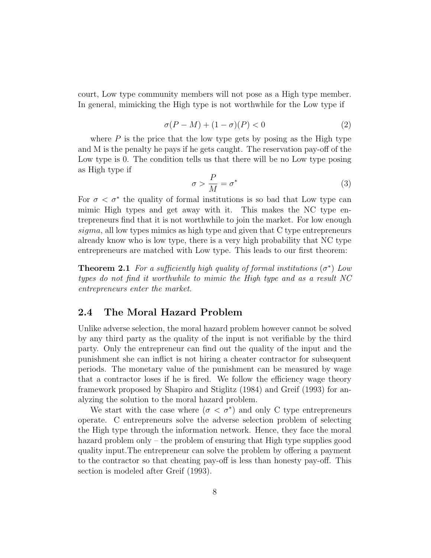court, Low type community members will not pose as a High type member. In general, mimicking the High type is not worthwhile for the Low type if

$$
\sigma(P - M) + (1 - \sigma)(P) < 0 \tag{2}
$$

where  $P$  is the price that the low type gets by posing as the High type and M is the penalty he pays if he gets caught. The reservation pay-off of the Low type is 0. The condition tells us that there will be no Low type posing as High type if

$$
\sigma > \frac{P}{M} = \sigma^* \tag{3}
$$

For  $\sigma < \sigma^*$  the quality of formal institutions is so bad that Low type can mimic High types and get away with it. This makes the NC type entrepreneurs find that it is not worthwhile to join the market. For low enough sigma, all low types mimics as high type and given that C type entrepreneurs already know who is low type, there is a very high probability that NC type entrepreneurs are matched with Low type. This leads to our first theorem:

**Theorem 2.1** For a sufficiently high quality of formal institutions  $(\sigma^*)$  Low types do not find it worthwhile to mimic the High type and as a result NC entrepreneurs enter the market.

#### 2.4 The Moral Hazard Problem

Unlike adverse selection, the moral hazard problem however cannot be solved by any third party as the quality of the input is not verifiable by the third party. Only the entrepreneur can find out the quality of the input and the punishment she can inflict is not hiring a cheater contractor for subsequent periods. The monetary value of the punishment can be measured by wage that a contractor loses if he is fired. We follow the efficiency wage theory framework proposed by Shapiro and Stiglitz (1984) and Greif (1993) for analyzing the solution to the moral hazard problem.

We start with the case where  $(\sigma < \sigma^*)$  and only C type entrepreneurs operate. C entrepreneurs solve the adverse selection problem of selecting the High type through the information network. Hence, they face the moral hazard problem only – the problem of ensuring that High type supplies good quality input.The entrepreneur can solve the problem by offering a payment to the contractor so that cheating pay-off is less than honesty pay-off. This section is modeled after Greif (1993).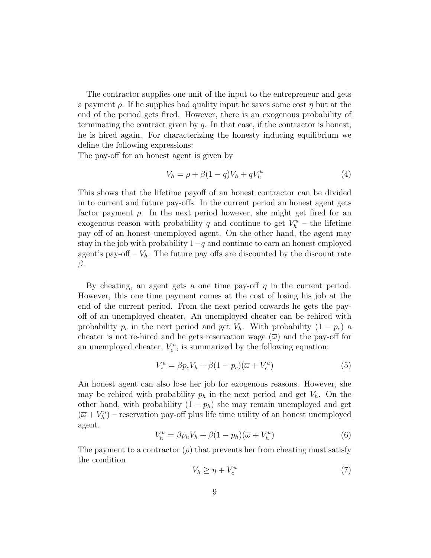The contractor supplies one unit of the input to the entrepreneur and gets a payment  $\rho$ . If he supplies bad quality input he saves some cost  $\eta$  but at the end of the period gets fired. However, there is an exogenous probability of terminating the contract given by  $q$ . In that case, if the contractor is honest, he is hired again. For characterizing the honesty inducing equilibrium we define the following expressions:

The pay-off for an honest agent is given by

$$
V_h = \rho + \beta (1 - q) V_h + q V_h^u \tag{4}
$$

This shows that the lifetime payoff of an honest contractor can be divided in to current and future pay-offs. In the current period an honest agent gets factor payment  $\rho$ . In the next period however, she might get fired for an exogenous reason with probability q and continue to get  $V_h^u$  – the lifetime pay off of an honest unemployed agent. On the other hand, the agent may stay in the job with probability  $1-q$  and continue to earn an honest employed agent's pay-off –  $V_h$ . The future pay offs are discounted by the discount rate β.

By cheating, an agent gets a one time pay-off  $\eta$  in the current period. However, this one time payment comes at the cost of losing his job at the end of the current period. From the next period onwards he gets the payoff of an unemployed cheater. An unemployed cheater can be rehired with probability  $p_c$  in the next period and get  $V_h$ . With probability  $(1 - p_c)$  a cheater is not re-hired and he gets reservation wage  $(\overline{\omega})$  and the pay-off for an unemployed cheater,  $V_c^u$ , is summarized by the following equation:

$$
V_c^u = \beta p_c V_h + \beta (1 - p_c)(\overline{\omega} + V_c^u)
$$
\n<sup>(5)</sup>

An honest agent can also lose her job for exogenous reasons. However, she may be rehired with probability  $p_h$  in the next period and get  $V_h$ . On the other hand, with probability  $(1 - p_h)$  she may remain unemployed and get  $(\overline{\omega} + V_h^u)$  – reservation pay-off plus life time utility of an honest unemployed agent.

$$
V_h^u = \beta p_h V_h + \beta (1 - p_h)(\overline{\omega} + V_h^u)
$$
\n<sup>(6)</sup>

The payment to a contractor  $(\rho)$  that prevents her from cheating must satisfy the condition

$$
V_h \ge \eta + V_c^u \tag{7}
$$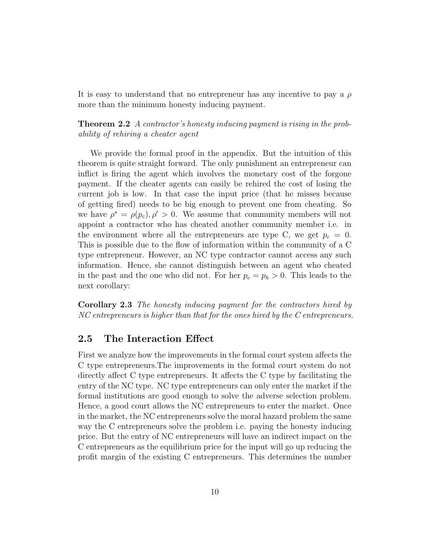It is easy to understand that no entrepreneur has any incentive to pay a  $\rho$ more than the minimum honesty inducing payment.

Theorem 2.2 A contractor's honesty inducing payment is rising in the probability of rehiring a cheater agent

We provide the formal proof in the appendix. But the intuition of this theorem is quite straight forward. The only punishment an entrepreneur can inflict is firing the agent which involves the monetary cost of the forgone payment. If the cheater agents can easily be rehired the cost of losing the current job is low. In that case the input price (that he misses because of getting fired) needs to be big enough to prevent one from cheating. So we have  $\rho^* = \rho(p_c), \rho' > 0$ . We assume that community members will not appoint a contractor who has cheated another community member i.e. in the environment where all the entrepreneurs are type C, we get  $p_c = 0$ . This is possible due to the flow of information within the community of a C type entrepreneur. However, an NC type contractor cannot access any such information. Hence, she cannot distinguish between an agent who cheated in the past and the one who did not. For her  $p_c = p_h > 0$ . This leads to the next corollary:

Corollary 2.3 The honesty inducing payment for the contractors hired by NC entrepreneurs is higher than that for the ones hired by the C entrepreneurs.

#### 2.5 The Interaction Effect

First we analyze how the improvements in the formal court system affects the C type entrepreneurs.The improvements in the formal court system do not directly affect C type entrepreneurs. It affects the C type by facilitating the entry of the NC type. NC type entrepreneurs can only enter the market if the formal institutions are good enough to solve the adverse selection problem. Hence, a good court allows the NC entrepreneurs to enter the market. Once in the market, the NC entrepreneurs solve the moral hazard problem the same way the C entrepreneurs solve the problem i.e. paying the honesty inducing price. But the entry of NC entrepreneurs will have an indirect impact on the C entrepreneurs as the equilibrium price for the input will go up reducing the profit margin of the existing C entrepreneurs. This determines the number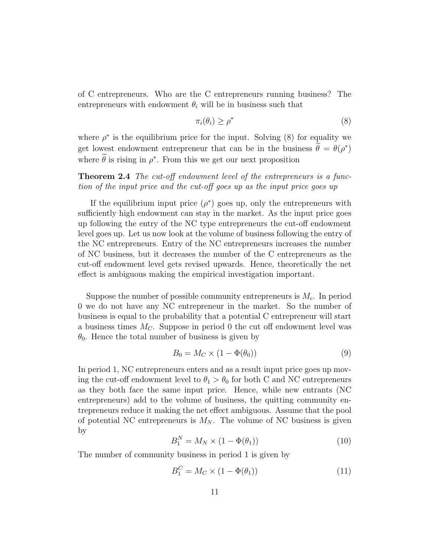of C entrepreneurs. Who are the C entrepreneurs running business? The entrepreneurs with endowment  $\theta_i$  will be in business such that

$$
\pi_i(\theta_i) \ge \rho^* \tag{8}
$$

where  $\rho^*$  is the equilibrium price for the input. Solving (8) for equality we get lowest endowment entrepreneur that can be in the business  $\hat{\theta} = \theta(\rho^*)$ where  $\hat{\theta}$  is rising in  $\rho^*$ . From this we get our next proposition

**Theorem 2.4** The cut-off endowment level of the entrepreneurs is a function of the input price and the cut-off goes up as the input price goes up

If the equilibrium input price  $(\rho^*)$  goes up, only the entrepreneurs with sufficiently high endowment can stay in the market. As the input price goes up following the entry of the NC type entrepreneurs the cut-off endowment level goes up. Let us now look at the volume of business following the entry of the NC entrepreneurs. Entry of the NC entrepreneurs increases the number of NC business, but it decreases the number of the C entrepreneurs as the cut-off endowment level gets revised upwards. Hence, theoretically the net effect is ambiguous making the empirical investigation important.

Suppose the number of possible community entrepreneurs is  $M_c$ . In period 0 we do not have any NC entrepreneur in the market. So the number of business is equal to the probability that a potential C entrepreneur will start a business times  $M<sub>C</sub>$ . Suppose in period 0 the cut off endowment level was  $\theta_0$ . Hence the total number of business is given by

$$
B_0 = M_C \times (1 - \Phi(\theta_0))
$$
\n<sup>(9)</sup>

In period 1, NC entrepreneurs enters and as a result input price goes up moving the cut-off endowment level to  $\theta_1 > \theta_0$  for both C and NC entrepreneurs as they both face the same input price. Hence, while new entrants (NC entrepreneurs) add to the volume of business, the quitting community entrepreneurs reduce it making the net effect ambiguous. Assume that the pool of potential NC entrepreneurs is  $M_N$ . The volume of NC business is given by

$$
B_1^N = M_N \times (1 - \Phi(\theta_1)) \tag{10}
$$

The number of community business in period 1 is given by

$$
B_1^C = M_C \times (1 - \Phi(\theta_1)) \tag{11}
$$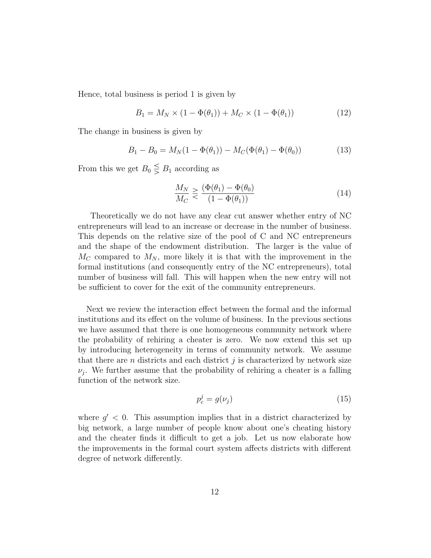Hence, total business is period 1 is given by

$$
B_1 = M_N \times (1 - \Phi(\theta_1)) + M_C \times (1 - \Phi(\theta_1))
$$
 (12)

The change in business is given by

$$
B_1 - B_0 = M_N(1 - \Phi(\theta_1)) - M_C(\Phi(\theta_1) - \Phi(\theta_0))
$$
\n(13)

From this we get  $B_0 \leq B_1$  according as

$$
\frac{M_N}{M_C} \geq \frac{(\Phi(\theta_1) - \Phi(\theta_0))}{(1 - \Phi(\theta_1))}
$$
\n(14)

Theoretically we do not have any clear cut answer whether entry of NC entrepreneurs will lead to an increase or decrease in the number of business. This depends on the relative size of the pool of C and NC entrepreneurs and the shape of the endowment distribution. The larger is the value of  $M_C$  compared to  $M_N$ , more likely it is that with the improvement in the formal institutions (and consequently entry of the NC entrepreneurs), total number of business will fall. This will happen when the new entry will not be sufficient to cover for the exit of the community entrepreneurs.

Next we review the interaction effect between the formal and the informal institutions and its effect on the volume of business. In the previous sections we have assumed that there is one homogeneous community network where the probability of rehiring a cheater is zero. We now extend this set up by introducing heterogeneity in terms of community network. We assume that there are  $n$  districts and each district  $j$  is characterized by network size  $\nu_j$ . We further assume that the probability of rehiring a cheater is a falling function of the network size.

$$
p_c^j = g(\nu_j) \tag{15}
$$

where  $g' < 0$ . This assumption implies that in a district characterized by big network, a large number of people know about one's cheating history and the cheater finds it difficult to get a job. Let us now elaborate how the improvements in the formal court system affects districts with different degree of network differently.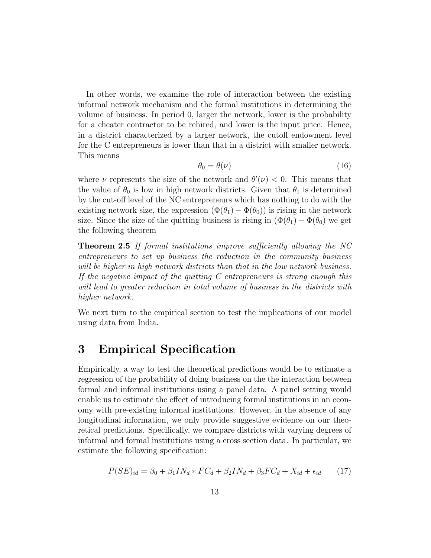In other words, we examine the role of interaction between the existing informal network mechanism and the formal institutions in determining the volume of business. In period 0, larger the network, lower is the probability for a cheater contractor to be rehired, and lower is the input price. Hence, in a district characterized by a larger network, the cutoff endowment level for the C entrepreneurs is lower than that in a district with smaller network. This means

$$
\theta_0 = \theta(\nu) \tag{16}
$$

where  $\nu$  represents the size of the network and  $\theta'(\nu) < 0$ . This means that the value of  $\theta_0$  is low in high network districts. Given that  $\theta_1$  is determined by the cut-off level of the NC entrepreneurs which has nothing to do with the existing network size, the expression  $(\Phi(\theta_1) - \Phi(\theta_0))$  is rising in the network size. Since the size of the quitting business is rising in  $(\Phi(\theta_1) - \Phi(\theta_0))$  we get the following theorem

Theorem 2.5 If formal institutions improve sufficiently allowing the NC entrepreneurs to set up business the reduction in the community business will be higher in high network districts than that in the low network business. If the negative impact of the quitting C entrepreneurs is strong enough this will lead to greater reduction in total volume of business in the districts with higher network.

We next turn to the empirical section to test the implications of our model using data from India.

# 3 Empirical Specification

Empirically, a way to test the theoretical predictions would be to estimate a regression of the probability of doing business on the the interaction between formal and informal institutions using a panel data. A panel setting would enable us to estimate the effect of introducing formal institutions in an economy with pre-existing informal institutions. However, in the absence of any longitudinal information, we only provide suggestive evidence on our theoretical predictions. Specifically, we compare districts with varying degrees of informal and formal institutions using a cross section data. In particular, we estimate the following specification:

$$
P(SE)_{id} = \beta_0 + \beta_1 IN_d * FC_d + \beta_2 IN_d + \beta_3 FC_d + X_{id} + \epsilon_{id} \tag{17}
$$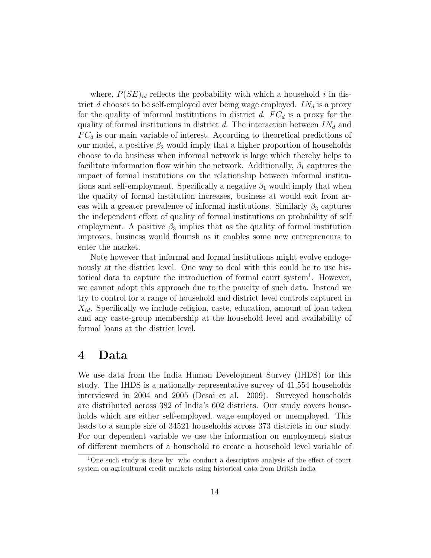where,  $P(SE)_{id}$  reflects the probability with which a household i in district d chooses to be self-employed over being wage employed.  $IN_d$  is a proxy for the quality of informal institutions in district d.  $FC_d$  is a proxy for the quality of formal institutions in district d. The interaction between  $IN_d$  and  $FC<sub>d</sub>$  is our main variable of interest. According to theoretical predictions of our model, a positive  $\beta_2$  would imply that a higher proportion of households choose to do business when informal network is large which thereby helps to facilitate information flow within the network. Additionally,  $\beta_1$  captures the impact of formal institutions on the relationship between informal institutions and self-employment. Specifically a negative  $\beta_1$  would imply that when the quality of formal institution increases, business at would exit from areas with a greater prevalence of informal institutions. Similarly  $\beta_3$  captures the independent effect of quality of formal institutions on probability of self employment. A positive  $\beta_3$  implies that as the quality of formal institution improves, business would flourish as it enables some new entrepreneurs to enter the market.

Note however that informal and formal institutions might evolve endogenously at the district level. One way to deal with this could be to use historical data to capture the introduction of formal court system<sup>1</sup>. However, we cannot adopt this approach due to the paucity of such data. Instead we try to control for a range of household and district level controls captured in  $X_{id}$ . Specifically we include religion, caste, education, amount of loan taken and any caste-group membership at the household level and availability of formal loans at the district level.

### 4 Data

We use data from the India Human Development Survey (IHDS) for this study. The IHDS is a nationally representative survey of 41,554 households interviewed in 2004 and 2005 (Desai et al. 2009). Surveyed households are distributed across 382 of India's 602 districts. Our study covers households which are either self-employed, wage employed or unemployed. This leads to a sample size of 34521 households across 373 districts in our study. For our dependent variable we use the information on employment status of different members of a household to create a household level variable of

<sup>&</sup>lt;sup>1</sup>One such study is done by who conduct a descriptive analysis of the effect of court system on agricultural credit markets using historical data from British India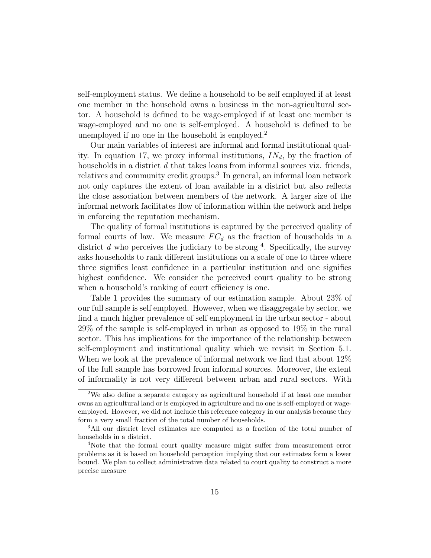self-employment status. We define a household to be self employed if at least one member in the household owns a business in the non-agricultural sector. A household is defined to be wage-employed if at least one member is wage-employed and no one is self-employed. A household is defined to be unemployed if no one in the household is employed.<sup>2</sup>

Our main variables of interest are informal and formal institutional quality. In equation 17, we proxy informal institutions,  $IN_d$ , by the fraction of households in a district  $d$  that takes loans from informal sources viz. friends, relatives and community credit groups.<sup>3</sup> In general, an informal loan network not only captures the extent of loan available in a district but also reflects the close association between members of the network. A larger size of the informal network facilitates flow of information within the network and helps in enforcing the reputation mechanism.

The quality of formal institutions is captured by the perceived quality of formal courts of law. We measure  $FC_d$  as the fraction of households in a district  $d$  who perceives the judiciary to be strong  $4$ . Specifically, the survey asks households to rank different institutions on a scale of one to three where three signifies least confidence in a particular institution and one signifies highest confidence. We consider the perceived court quality to be strong when a household's ranking of court efficiency is one.

Table 1 provides the summary of our estimation sample. About 23% of our full sample is self employed. However, when we disaggregate by sector, we find a much higher prevalence of self employment in the urban sector - about 29% of the sample is self-employed in urban as opposed to 19% in the rural sector. This has implications for the importance of the relationship between self-employment and institutional quality which we revisit in Section 5.1. When we look at the prevalence of informal network we find that about  $12\%$ of the full sample has borrowed from informal sources. Moreover, the extent of informality is not very different between urban and rural sectors. With

<sup>2</sup>We also define a separate category as agricultural household if at least one member owns an agricultural land or is employed in agriculture and no one is self-employed or wageemployed. However, we did not include this reference category in our analysis because they form a very small fraction of the total number of households.

<sup>&</sup>lt;sup>3</sup>All our district level estimates are computed as a fraction of the total number of households in a district.

<sup>4</sup>Note that the formal court quality measure might suffer from measurement error problems as it is based on household perception implying that our estimates form a lower bound. We plan to collect administrative data related to court quality to construct a more precise measure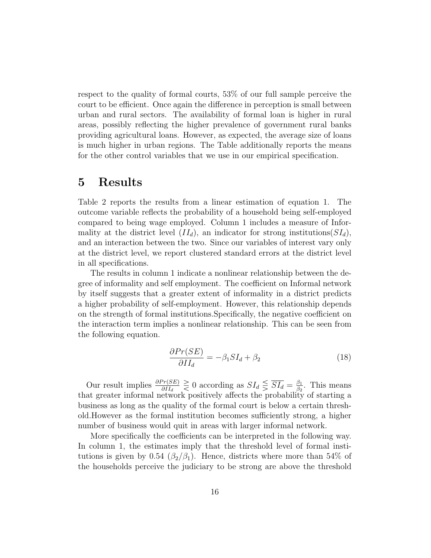respect to the quality of formal courts, 53% of our full sample perceive the court to be efficient. Once again the difference in perception is small between urban and rural sectors. The availability of formal loan is higher in rural areas, possibly reflecting the higher prevalence of government rural banks providing agricultural loans. However, as expected, the average size of loans is much higher in urban regions. The Table additionally reports the means for the other control variables that we use in our empirical specification.

# 5 Results

Table 2 reports the results from a linear estimation of equation 1. The outcome variable reflects the probability of a household being self-employed compared to being wage employed. Column 1 includes a measure of Informality at the district level  $(II_d)$ , an indicator for strong institutions  $(SI_d)$ , and an interaction between the two. Since our variables of interest vary only at the district level, we report clustered standard errors at the district level in all specifications.

The results in column 1 indicate a nonlinear relationship between the degree of informality and self employment. The coefficient on Informal network by itself suggests that a greater extent of informality in a district predicts a higher probability of self-employment. However, this relationship depends on the strength of formal institutions.Specifically, the negative coefficient on the interaction term implies a nonlinear relationship. This can be seen from the following equation.

$$
\frac{\partial Pr(SE)}{\partial II_d} = -\beta_1 SI_d + \beta_2 \tag{18}
$$

Our result implies  $\frac{\partial Pr(SE)}{\partial H_d} \geq 0$  according as  $SI_d \leq \overline{SI_d} = \frac{\beta_1}{\beta_2}$  $\frac{\beta_1}{\beta_2}$ . This means that greater informal network positively affects the probability of starting a business as long as the quality of the formal court is below a certain threshold.However as the formal institution becomes sufficiently strong, a higher number of business would quit in areas with larger informal network.

More specifically the coefficients can be interpreted in the following way. In column 1, the estimates imply that the threshold level of formal institutions is given by 0.54 ( $\beta_2/\beta_1$ ). Hence, districts where more than 54% of the households perceive the judiciary to be strong are above the threshold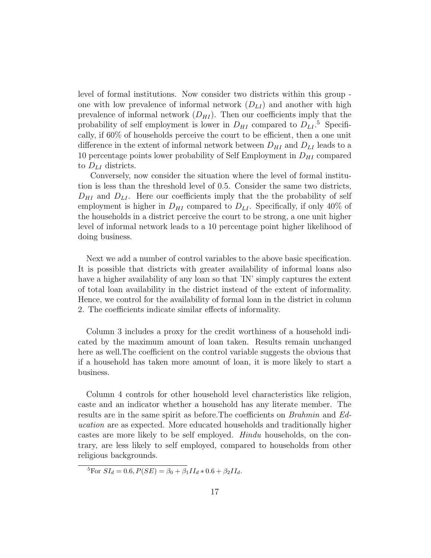level of formal institutions. Now consider two districts within this group one with low prevalence of informal network  $(D_{LI})$  and another with high prevalence of informal network  $(D_{HI})$ . Then our coefficients imply that the probability of self employment is lower in  $D_{HI}$  compared to  $D_{LI}$ .<sup>5</sup> Specifically, if 60% of households perceive the court to be efficient, then a one unit difference in the extent of informal network between  $D_{HI}$  and  $D_{LI}$  leads to a 10 percentage points lower probability of Self Employment in  $D_{HI}$  compared to  $D_{LI}$  districts.

Conversely, now consider the situation where the level of formal institution is less than the threshold level of 0.5. Consider the same two districts,  $D_{HI}$  and  $D_{LI}$ . Here our coefficients imply that the the probability of self employment is higher in  $D_{HI}$  compared to  $D_{LI}$ . Specifically, if only 40% of the households in a district perceive the court to be strong, a one unit higher level of informal network leads to a 10 percentage point higher likelihood of doing business.

Next we add a number of control variables to the above basic specification. It is possible that districts with greater availability of informal loans also have a higher availability of any loan so that 'IN' simply captures the extent of total loan availability in the district instead of the extent of informality. Hence, we control for the availability of formal loan in the district in column 2. The coefficients indicate similar effects of informality.

Column 3 includes a proxy for the credit worthiness of a household indicated by the maximum amount of loan taken. Results remain unchanged here as well.The coefficient on the control variable suggests the obvious that if a household has taken more amount of loan, it is more likely to start a business.

Column 4 controls for other household level characteristics like religion, caste and an indicator whether a household has any literate member. The results are in the same spirit as before.The coefficients on Brahmin and Education are as expected. More educated households and traditionally higher castes are more likely to be self employed. Hindu households, on the contrary, are less likely to self employed, compared to households from other religious backgrounds.

 $\frac{5}{6}$ For  $SI_d = 0.6, P(SE) = \beta_0 + \beta_1 II_d * 0.6 + \beta_2 II_d.$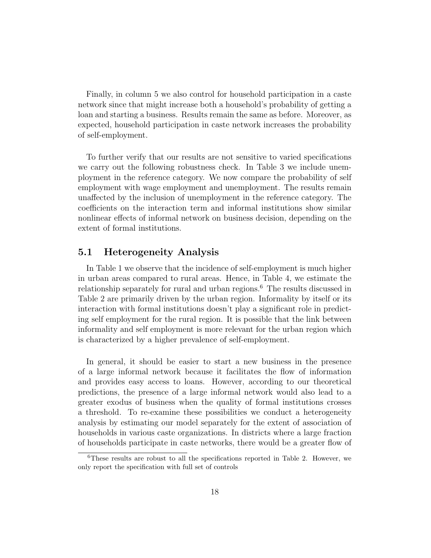Finally, in column 5 we also control for household participation in a caste network since that might increase both a household's probability of getting a loan and starting a business. Results remain the same as before. Moreover, as expected, household participation in caste network increases the probability of self-employment.

To further verify that our results are not sensitive to varied specifications we carry out the following robustness check. In Table 3 we include unemployment in the reference category. We now compare the probability of self employment with wage employment and unemployment. The results remain unaffected by the inclusion of unemployment in the reference category. The coefficients on the interaction term and informal institutions show similar nonlinear effects of informal network on business decision, depending on the extent of formal institutions.

#### 5.1 Heterogeneity Analysis

In Table 1 we observe that the incidence of self-employment is much higher in urban areas compared to rural areas. Hence, in Table 4, we estimate the relationship separately for rural and urban regions.<sup>6</sup> The results discussed in Table 2 are primarily driven by the urban region. Informality by itself or its interaction with formal institutions doesn't play a significant role in predicting self employment for the rural region. It is possible that the link between informality and self employment is more relevant for the urban region which is characterized by a higher prevalence of self-employment.

In general, it should be easier to start a new business in the presence of a large informal network because it facilitates the flow of information and provides easy access to loans. However, according to our theoretical predictions, the presence of a large informal network would also lead to a greater exodus of business when the quality of formal institutions crosses a threshold. To re-examine these possibilities we conduct a heterogeneity analysis by estimating our model separately for the extent of association of households in various caste organizations. In districts where a large fraction of households participate in caste networks, there would be a greater flow of

 ${}^{6}$ These results are robust to all the specifications reported in Table 2. However, we only report the specification with full set of controls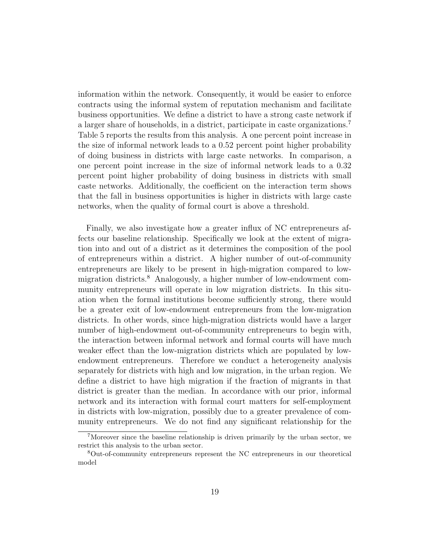information within the network. Consequently, it would be easier to enforce contracts using the informal system of reputation mechanism and facilitate business opportunities. We define a district to have a strong caste network if a larger share of households, in a district, participate in caste organizations.<sup>7</sup> Table 5 reports the results from this analysis. A one percent point increase in the size of informal network leads to a 0.52 percent point higher probability of doing business in districts with large caste networks. In comparison, a one percent point increase in the size of informal network leads to a 0.32 percent point higher probability of doing business in districts with small caste networks. Additionally, the coefficient on the interaction term shows that the fall in business opportunities is higher in districts with large caste networks, when the quality of formal court is above a threshold.

Finally, we also investigate how a greater influx of NC entrepreneurs affects our baseline relationship. Specifically we look at the extent of migration into and out of a district as it determines the composition of the pool of entrepreneurs within a district. A higher number of out-of-community entrepreneurs are likely to be present in high-migration compared to lowmigration districts.<sup>8</sup> Analogously, a higher number of low-endowment community entrepreneurs will operate in low migration districts. In this situation when the formal institutions become sufficiently strong, there would be a greater exit of low-endowment entrepreneurs from the low-migration districts. In other words, since high-migration districts would have a larger number of high-endowment out-of-community entrepreneurs to begin with, the interaction between informal network and formal courts will have much weaker effect than the low-migration districts which are populated by lowendowment entrepreneurs. Therefore we conduct a heterogeneity analysis separately for districts with high and low migration, in the urban region. We define a district to have high migration if the fraction of migrants in that district is greater than the median. In accordance with our prior, informal network and its interaction with formal court matters for self-employment in districts with low-migration, possibly due to a greater prevalence of community entrepreneurs. We do not find any significant relationship for the

<sup>7</sup>Moreover since the baseline relationship is driven primarily by the urban sector, we restrict this analysis to the urban sector.

<sup>8</sup>Out-of-community entrepreneurs represent the NC entrepreneurs in our theoretical model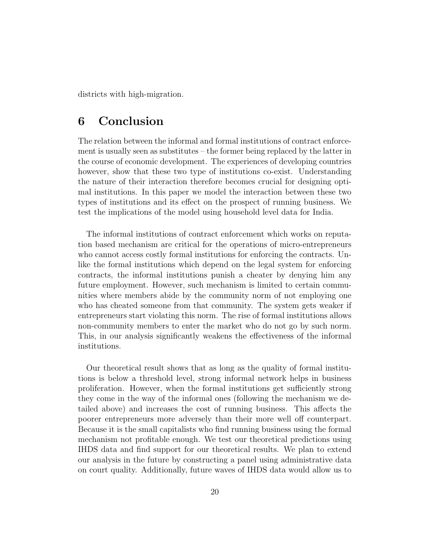districts with high-migration.

# 6 Conclusion

The relation between the informal and formal institutions of contract enforcement is usually seen as substitutes – the former being replaced by the latter in the course of economic development. The experiences of developing countries however, show that these two type of institutions co-exist. Understanding the nature of their interaction therefore becomes crucial for designing optimal institutions. In this paper we model the interaction between these two types of institutions and its effect on the prospect of running business. We test the implications of the model using household level data for India.

The informal institutions of contract enforcement which works on reputation based mechanism are critical for the operations of micro-entrepreneurs who cannot access costly formal institutions for enforcing the contracts. Unlike the formal institutions which depend on the legal system for enforcing contracts, the informal institutions punish a cheater by denying him any future employment. However, such mechanism is limited to certain communities where members abide by the community norm of not employing one who has cheated someone from that community. The system gets weaker if entrepreneurs start violating this norm. The rise of formal institutions allows non-community members to enter the market who do not go by such norm. This, in our analysis significantly weakens the effectiveness of the informal institutions.

Our theoretical result shows that as long as the quality of formal institutions is below a threshold level, strong informal network helps in business proliferation. However, when the formal institutions get sufficiently strong they come in the way of the informal ones (following the mechanism we detailed above) and increases the cost of running business. This affects the poorer entrepreneurs more adversely than their more well off counterpart. Because it is the small capitalists who find running business using the formal mechanism not profitable enough. We test our theoretical predictions using IHDS data and find support for our theoretical results. We plan to extend our analysis in the future by constructing a panel using administrative data on court quality. Additionally, future waves of IHDS data would allow us to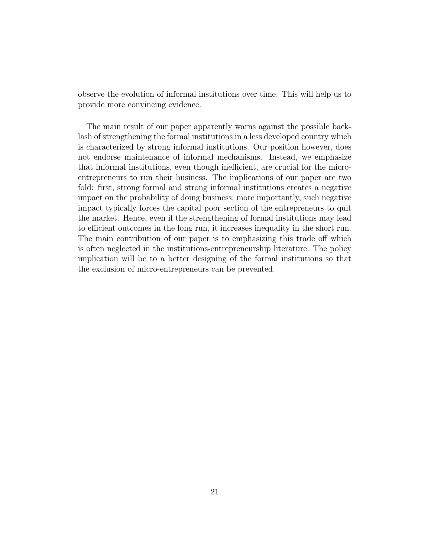observe the evolution of informal institutions over time. This will help us to provide more convincing evidence.

The main result of our paper apparently warns against the possible backlash of strengthening the formal institutions in a less developed country which is characterized by strong informal institutions. Our position however, does not endorse maintenance of informal mechanisms. Instead, we emphasize that informal institutions, even though inefficient, are crucial for the microentrepreneurs to run their business. The implications of our paper are two fold: first, strong formal and strong informal institutions creates a negative impact on the probability of doing business; more importantly, such negative impact typically forces the capital poor section of the entrepreneurs to quit the market. Hence, even if the strengthening of formal institutions may lead to efficient outcomes in the long run, it increases inequality in the short run. The main contribution of our paper is to emphasizing this trade off which is often neglected in the institutions-entrepreneurship literature. The policy implication will be to a better designing of the formal institutions so that the exclusion of micro-entrepreneurs can be prevented.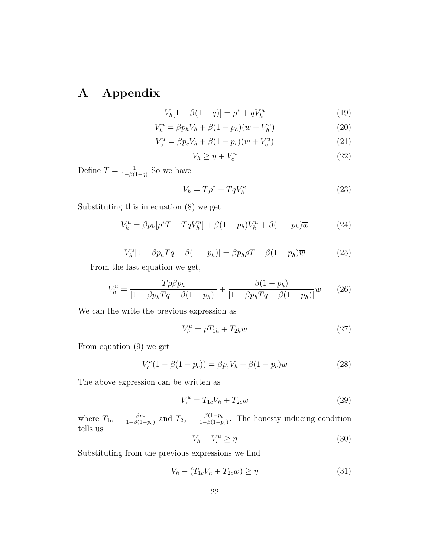# A Appendix

$$
V_h[1 - \beta(1 - q)] = \rho^* + qV_h^u \tag{19}
$$

$$
V_h^u = \beta p_h V_h + \beta (1 - p_h)(\overline{w} + V_h^u)
$$
\n<sup>(20)</sup>

$$
V_c^u = \beta p_c V_h + \beta (1 - p_c)(\overline{w} + V_c^u)
$$
\n(21)

$$
V_h \ge \eta + V_c^u \tag{22}
$$

Define  $T = \frac{1}{1 - \beta}$  $\frac{1}{1-\beta(1-q)}$  So we have

$$
V_h = T\rho^* + TqV_h^u \tag{23}
$$

Substituting this in equation (8) we get

$$
V_h^u = \beta p_h [\rho^* T + T q V_h^u] + \beta (1 - p_h) V_h^u + \beta (1 - p_h) \overline{w}
$$
 (24)

$$
V_h^u[1 - \beta p_h Tq - \beta (1 - p_h)] = \beta p_h \rho T + \beta (1 - p_h) \overline{w}
$$
 (25)

From the last equation we get,

$$
V_h^u = \frac{T\rho\beta p_h}{[1 - \beta p_h Tq - \beta(1 - p_h)]} + \frac{\beta(1 - p_h)}{[1 - \beta p_h Tq - \beta(1 - p_h)]}\overline{w}
$$
 (26)

We can the write the previous expression as

$$
V_h^u = \rho T_{1h} + T_{2h}\overline{w}
$$
\n<sup>(27)</sup>

From equation (9) we get

$$
V_c^u(1 - \beta(1 - p_c)) = \beta p_c V_h + \beta (1 - p_c) \overline{w}
$$
 (28)

The above expression can be written as

$$
V_c^u = T_{1c}V_h + T_{2c}\overline{w}
$$
\n<sup>(29)</sup>

where  $T_{1c} = \frac{\beta p_c}{1 - \beta (1 - \beta)}$  $\frac{\beta p_c}{1-\beta(1-p_c)}$  and  $T_{2c} = \frac{\beta(1-p_c)}{1-\beta(1-p_c)}$  $\frac{\beta(1-p_c)}{1-\beta(1-p_c)}$ . The honesty inducing condition tells us

$$
V_h - V_c^u \ge \eta \tag{30}
$$

Substituting from the previous expressions we find

$$
V_h - (T_{1c}V_h + T_{2c}\overline{w}) \ge \eta \tag{31}
$$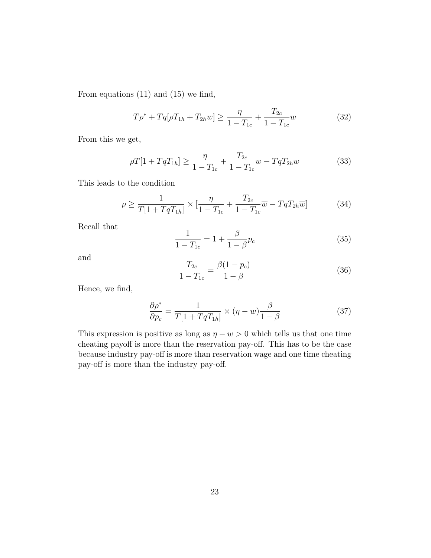From equations (11) and (15) we find,

$$
T\rho^* + Tq[\rho T_{1h} + T_{2h}\overline{w}] \ge \frac{\eta}{1 - T_{1c}} + \frac{T_{2c}}{1 - T_{1c}}\overline{w}
$$
 (32)

From this we get,

$$
\rho T[1 + TqT_{1h}] \ge \frac{\eta}{1 - T_{1c}} + \frac{T_{2c}}{1 - T_{1c}}\overline{w} - TqT_{2h}\overline{w}
$$
(33)

This leads to the condition

$$
\rho \ge \frac{1}{T[1+TqT_{1h}]} \times \left[\frac{\eta}{1-T_{1c}} + \frac{T_{2c}}{1-T_{1c}}\overline{w} - TqT_{2h}\overline{w}\right]
$$
(34)

Recall that

$$
\frac{1}{1 - T_{1c}} = 1 + \frac{\beta}{1 - \beta} p_c \tag{35}
$$

and

$$
\frac{T_{2c}}{1 - T_{1c}} = \frac{\beta (1 - p_c)}{1 - \beta} \tag{36}
$$

Hence, we find,

$$
\frac{\partial \rho^*}{\partial p_c} = \frac{1}{T[1 + TqT_{1h}]} \times (\eta - \overline{w}) \frac{\beta}{1 - \beta}
$$
(37)

This expression is positive as long as  $\eta - \overline{w} > 0$  which tells us that one time cheating payoff is more than the reservation pay-off. This has to be the case because industry pay-off is more than reservation wage and one time cheating pay-off is more than the industry pay-off.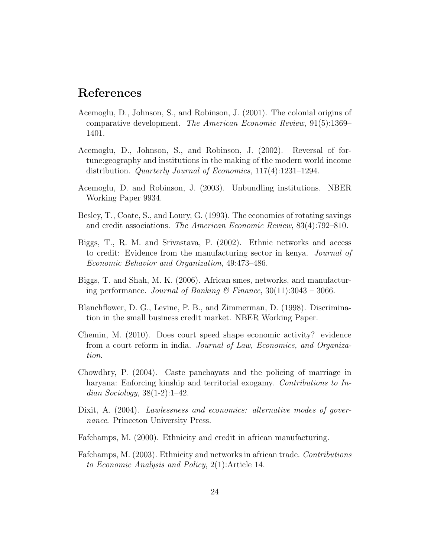# References

- Acemoglu, D., Johnson, S., and Robinson, J. (2001). The colonial origins of comparative development. The American Economic Review, 91(5):1369– 1401.
- Acemoglu, D., Johnson, S., and Robinson, J. (2002). Reversal of fortune:geography and institutions in the making of the modern world income distribution. Quarterly Journal of Economics, 117(4):1231–1294.
- Acemoglu, D. and Robinson, J. (2003). Unbundling institutions. NBER Working Paper 9934.
- Besley, T., Coate, S., and Loury, G. (1993). The economics of rotating savings and credit associations. The American Economic Review, 83(4):792–810.
- Biggs, T., R. M. and Srivastava, P. (2002). Ethnic networks and access to credit: Evidence from the manufacturing sector in kenya. Journal of Economic Behavior and Organization, 49:473–486.
- Biggs, T. and Shah, M. K. (2006). African smes, networks, and manufacturing performance. Journal of Banking & Finance,  $30(11):3043 - 3066$ .
- Blanchflower, D. G., Levine, P. B., and Zimmerman, D. (1998). Discrimination in the small business credit market. NBER Working Paper.
- Chemin, M. (2010). Does court speed shape economic activity? evidence from a court reform in india. Journal of Law, Economics, and Organization.
- Chowdhry, P. (2004). Caste panchayats and the policing of marriage in haryana: Enforcing kinship and territorial exogamy. Contributions to Indian Sociology,  $38(1-2)$ :1-42.
- Dixit, A. (2004). Lawlessness and economics: alternative modes of governance. Princeton University Press.
- Fafchamps, M. (2000). Ethnicity and credit in african manufacturing.
- Fafchamps, M. (2003). Ethnicity and networks in african trade. Contributions to Economic Analysis and Policy, 2(1):Article 14.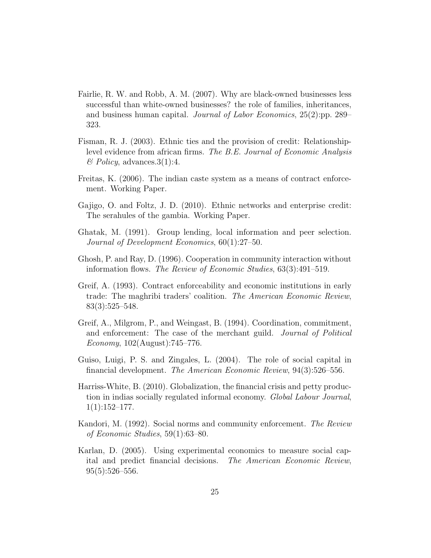- Fairlie, R. W. and Robb, A. M. (2007). Why are black-owned businesses less successful than white-owned businesses? the role of families, inheritances, and business human capital. Journal of Labor Economics, 25(2):pp. 289– 323.
- Fisman, R. J. (2003). Ethnic ties and the provision of credit: Relationshiplevel evidence from african firms. The B.E. Journal of Economic Analysis  $\mathscr$ *Policy*, advances. 3(1):4.
- Freitas, K. (2006). The indian caste system as a means of contract enforcement. Working Paper.
- Gajigo, O. and Foltz, J. D. (2010). Ethnic networks and enterprise credit: The serahules of the gambia. Working Paper.
- Ghatak, M. (1991). Group lending, local information and peer selection. Journal of Development Economics, 60(1):27–50.
- Ghosh, P. and Ray, D. (1996). Cooperation in community interaction without information flows. The Review of Economic Studies, 63(3):491–519.
- Greif, A. (1993). Contract enforceability and economic institutions in early trade: The maghribi traders' coalition. The American Economic Review, 83(3):525–548.
- Greif, A., Milgrom, P., and Weingast, B. (1994). Coordination, commitment, and enforcement: The case of the merchant guild. *Journal of Political* Economy, 102(August):745–776.
- Guiso, Luigi, P. S. and Zingales, L. (2004). The role of social capital in financial development. The American Economic Review, 94(3):526–556.
- Harriss-White, B. (2010). Globalization, the financial crisis and petty production in indias socially regulated informal economy. Global Labour Journal,  $1(1):152-177.$
- Kandori, M. (1992). Social norms and community enforcement. The Review of Economic Studies, 59(1):63–80.
- Karlan, D. (2005). Using experimental economics to measure social capital and predict financial decisions. The American Economic Review, 95(5):526–556.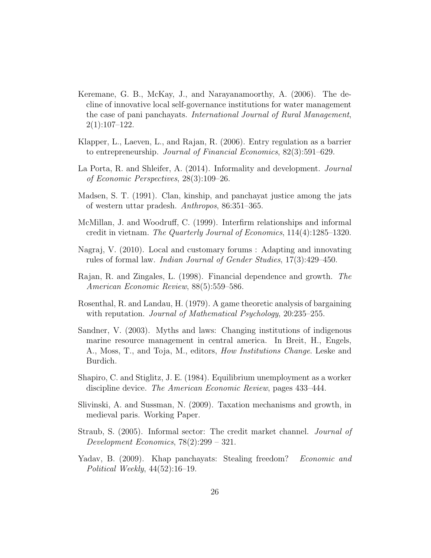- Keremane, G. B., McKay, J., and Narayanamoorthy, A. (2006). The decline of innovative local self-governance institutions for water management the case of pani panchayats. International Journal of Rural Management,  $2(1):107-122.$
- Klapper, L., Laeven, L., and Rajan, R. (2006). Entry regulation as a barrier to entrepreneurship. Journal of Financial Economics, 82(3):591–629.
- La Porta, R. and Shleifer, A. (2014). Informality and development. *Journal* of Economic Perspectives, 28(3):109–26.
- Madsen, S. T. (1991). Clan, kinship, and panchayat justice among the jats of western uttar pradesh. Anthropos, 86:351–365.
- McMillan, J. and Woodruff, C. (1999). Interfirm relationships and informal credit in vietnam. The Quarterly Journal of Economics, 114(4):1285–1320.
- Nagraj, V. (2010). Local and customary forums : Adapting and innovating rules of formal law. Indian Journal of Gender Studies, 17(3):429–450.
- Rajan, R. and Zingales, L. (1998). Financial dependence and growth. The American Economic Review, 88(5):559–586.
- Rosenthal, R. and Landau, H. (1979). A game theoretic analysis of bargaining with reputation. *Journal of Mathematical Psychology*, 20:235–255.
- Sandner, V. (2003). Myths and laws: Changing institutions of indigenous marine resource management in central america. In Breit, H., Engels, A., Moss, T., and Toja, M., editors, How Institutions Change. Leske and Burdich.
- Shapiro, C. and Stiglitz, J. E. (1984). Equilibrium unemployment as a worker discipline device. The American Economic Review, pages 433–444.
- Slivinski, A. and Sussman, N. (2009). Taxation mechanisms and growth, in medieval paris. Working Paper.
- Straub, S. (2005). Informal sector: The credit market channel. Journal of Development Economics, 78(2):299 – 321.
- Yadav, B. (2009). Khap panchayats: Stealing freedom? Economic and Political Weekly, 44(52):16–19.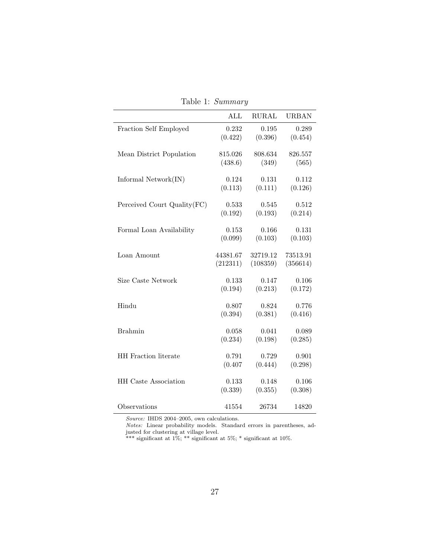|                              | ALL              | <b>RURAL</b>     | <b>URBAN</b>     |
|------------------------------|------------------|------------------|------------------|
| Fraction Self Employed       | 0.232            | 0.195            | 0.289            |
|                              | (0.422)          | (0.396)          | (0.454)          |
| Mean District Population     | 815.026          | 808.634          | 826.557          |
|                              | (438.6)          | (349)            | (565)            |
|                              |                  | 0.131            |                  |
| Informal $Network(IN)$       | 0.124<br>(0.113) | (0.111)          | 0.112<br>(0.126) |
|                              |                  |                  |                  |
| Perceived Court Quality (FC) | 0.533            | 0.545            | 0.512            |
|                              | (0.192)          | (0.193)          | (0.214)          |
| Formal Loan Availability     | 0.153            | 0.166            | 0.131            |
|                              | (0.099)          | (0.103)          | (0.103)          |
| Loan Amount                  | 44381.67         | 32719.12         | 73513.91         |
|                              | (212311)         | (108359)         | (356614)         |
|                              |                  |                  |                  |
| Size Caste Network           | 0.133            | 0.147            | 0.106            |
|                              | (0.194)          | (0.213)          | (0.172)          |
| Hindu                        | 0.807            | 0.824            | 0.776            |
|                              | (0.394)          | (0.381)          | (0.416)          |
| <b>Brahmin</b>               | 0.058            | 0.041            | 0.089            |
|                              | (0.234)          | (0.198)          | (0.285)          |
|                              |                  |                  |                  |
| HH Fraction literate         | 0.791<br>(0.407) | 0.729<br>(0.444) | 0.901<br>(0.298) |
|                              |                  |                  |                  |
| <b>HH</b> Caste Association  | 0.133            | 0.148            | 0.106            |
|                              | (0.339)          | (0.355)          | (0.308)          |
| Observations                 | 41554            | 26734            | 14820            |

Table 1: Summary

Notes: Linear probability models. Standard errors in parentheses, adjusted for clustering at village level.

\*\*\* significant at 1%; \*\* significant at 5%; \* significant at 10%.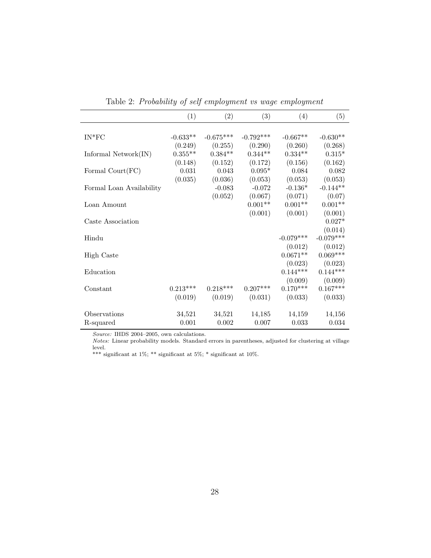|                          | (1)         | (2)         | (3)         | (4)         | (5)         |
|--------------------------|-------------|-------------|-------------|-------------|-------------|
|                          |             |             |             |             |             |
| $IN*FC$                  | $-0.633**$  | $-0.675***$ | $-0.792***$ | $-0.667**$  | $-0.630**$  |
|                          | (0.249)     | (0.255)     | (0.290)     | (0.260)     | (0.268)     |
| Informal $Network(IN)$   | $0.355**$   | $0.384**$   | $0.344**$   | $0.334**$   | $0.315*$    |
|                          | (0.148)     | (0.152)     | (0.172)     | (0.156)     | (0.162)     |
| Formal $Count(FC)$       | $\,0.031\,$ | 0.043       | $0.095*$    | 0.084       | 0.082       |
|                          | (0.035)     | (0.036)     | (0.053)     | (0.053)     | (0.053)     |
| Formal Loan Availability |             | $-0.083$    | $-0.072$    | $-0.136*$   | $-0.144**$  |
|                          |             | (0.052)     | (0.067)     | (0.071)     | (0.07)      |
| Loan Amount              |             |             | $0.001**$   | $0.001**$   | $0.001**$   |
|                          |             |             | (0.001)     | (0.001)     | (0.001)     |
| Caste Association        |             |             |             |             | $0.027*$    |
|                          |             |             |             |             | (0.014)     |
| Hindu                    |             |             |             | $-0.079***$ | $-0.079***$ |
|                          |             |             |             | (0.012)     | (0.012)     |
| <b>High Caste</b>        |             |             |             | $0.0671**$  | $0.069***$  |
|                          |             |             |             | (0.023)     | (0.023)     |
| Education                |             |             |             | $0.144***$  | $0.144***$  |
|                          |             |             |             | (0.009)     | (0.009)     |
| Constant                 | $0.213***$  | $0.218***$  | $0.207***$  | $0.170***$  | $0.167***$  |
|                          | (0.019)     | (0.019)     | (0.031)     | (0.033)     | (0.033)     |
| Observations             | 34,521      | 34,521      | 14,185      | 14,159      | 14,156      |
| R-squared                | 0.001       | 0.002       | 0.007       | 0.033       | 0.034       |

Table 2: Probability of self employment vs wage employment

Notes: Linear probability models. Standard errors in parentheses, adjusted for clustering at village level.

\*\*\* significant at  $1\%$ ; \*\* significant at  $5\%$ ; \* significant at  $10\%$ .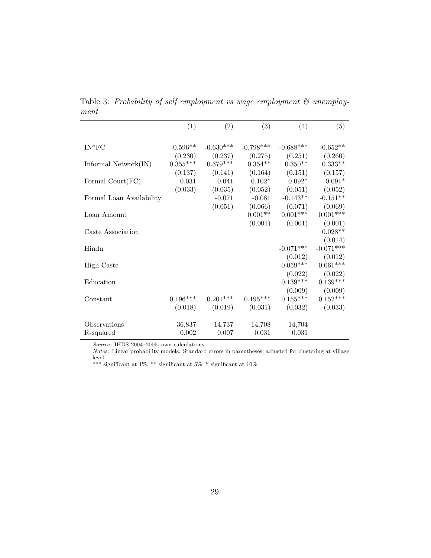Table 3: Probability of self employment vs wage employment & unemployment

|                          | (1)        | (2)         | (3)         | (4)         | (5)         |
|--------------------------|------------|-------------|-------------|-------------|-------------|
|                          |            |             |             |             |             |
| $IN*FC$                  | $-0.596**$ | $-0.630***$ | $-0.798***$ | $-0.688***$ | $-0.652**$  |
|                          | (0.230)    | (0.237)     | (0.275)     | (0.251)     | (0.260)     |
| Informal $Network(IN)$   | $0.355***$ | $0.379***$  | $0.354**$   | $0.350**$   | $0.333**$   |
|                          | (0.137)    | (0.141)     | (0.164)     | (0.151)     | (0.157)     |
| Formal Court(FC)         | 0.031      | 0.041       | $0.102*$    | $0.092*$    | $0.091*$    |
|                          | (0.033)    | (0.035)     | (0.052)     | (0.051)     | (0.052)     |
| Formal Loan Availability |            | $-0.071$    | $-0.081$    | $-0.143**$  | $-0.151**$  |
|                          |            | (0.051)     | (0.066)     | (0.071)     | (0.069)     |
| Loan Amount              |            |             | $0.001**$   | $0.001***$  | $0.001***$  |
|                          |            |             | (0.001)     | (0.001)     | (0.001)     |
| Caste Association        |            |             |             |             | $0.028**$   |
|                          |            |             |             |             | (0.014)     |
| Hindu                    |            |             |             | $-0.071***$ | $-0.071***$ |
|                          |            |             |             | (0.012)     | (0.012)     |
| <b>High Caste</b>        |            |             |             | $0.059***$  | $0.061***$  |
|                          |            |             |             | (0.022)     | (0.022)     |
| Education                |            |             |             | $0.139***$  | $0.139***$  |
|                          |            |             |             | (0.009)     | (0.009)     |
| Constant                 | $0.196***$ | $0.201***$  | $0.195***$  | $0.155***$  | $0.152***$  |
|                          | (0.018)    | (0.019)     | (0.031)     | (0.032)     | (0.033)     |
| Observations             | 36,837     | 14,737      | 14,708      | 14,704      |             |
| R-squared                | 0.002      | 0.007       | 0.031       | 0.031       |             |
|                          |            |             |             |             |             |

Notes: Linear probability models. Standard errors in parentheses, adjusted for clustering at village level.

\*\*\* significant at  $1\%$ ; \*\* significant at  $5\%$ ; \* significant at  $10\%$ .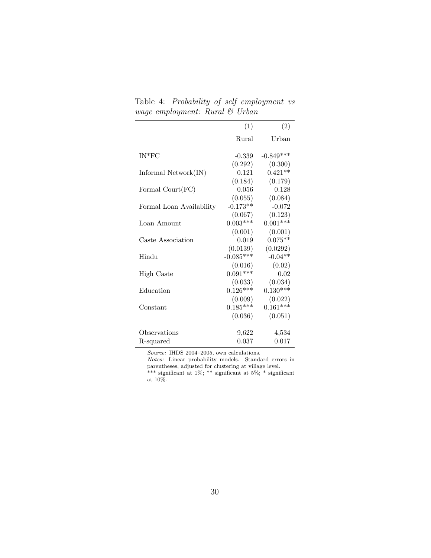Table 4: Probability of self employment vs wage employment: Rural & Urban

|                                  | (1)         | (2)         |
|----------------------------------|-------------|-------------|
|                                  | Rural       | Urban       |
|                                  |             |             |
| $IN*FC$                          | $-0.339$    | $-0.849***$ |
|                                  | (0.292)     | (0.300)     |
| Informal $Network(IN)$           | 0.121       | $0.421**$   |
|                                  | (0.184)     | (0.179)     |
| Formal $\text{Count}(\text{FC})$ | 0.056       | 0.128       |
|                                  | (0.055)     | (0.084)     |
| Formal Loan Availability         | $-0.173**$  | $-0.072$    |
|                                  | (0.067)     | (0.123)     |
| Loan Amount                      | $0.003***$  | $0.001***$  |
|                                  | (0.001)     | (0.001)     |
| Caste Association                | 0.019       | $0.075**$   |
|                                  | (0.0139)    | (0.0292)    |
| Hindu                            | $-0.085***$ | $-0.04**$   |
|                                  | (0.016)     | (0.02)      |
| High Caste                       | $0.091***$  | 0.02        |
|                                  | (0.033)     | (0.034)     |
| Education                        | $0.126***$  | $0.130***$  |
|                                  | (0.009)     | (0.022)     |
| Constant                         | $0.185***$  | $0.161***$  |
|                                  | (0.036)     | (0.051)     |
|                                  |             |             |
| Observations                     | 9,622       | 4,534       |
| R-squared                        | 0.037       | 0.017       |

Notes: Linear probability models. Standard errors in parentheses, adjusted for clustering at village level. \*\*\* significant at 1%; \*\* significant at 5%; \* significant at 10%.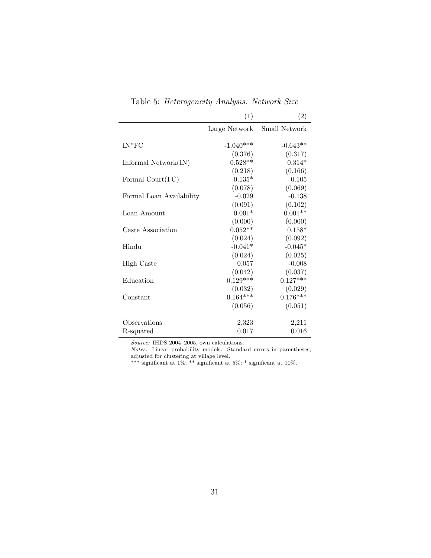|                          | (1)           | (2)           |
|--------------------------|---------------|---------------|
|                          | Large Network | Small Network |
| $IN*FC$                  | $-1.040***$   | $-0.643**$    |
|                          | (0.376)       | (0.317)       |
| Informal $Network(IN)$   | $0.528**$     | $0.314*$      |
|                          | (0.218)       | (0.166)       |
| Formal $Count(FC)$       | $0.135*$      | 0.105         |
|                          | (0.078)       | (0.069)       |
| Formal Loan Availability | $-0.029$      | $-0.138$      |
|                          | (0.091)       | (0.102)       |
| Loan Amount              | $0.001*$      | $0.001**$     |
|                          | (0.000)       | (0.000)       |
| Caste Association        | $0.052**$     | $0.158*$      |
|                          | (0.024)       | (0.092)       |
| Hindu                    | $-0.041*$     | $-0.045*$     |
|                          | (0.024)       | (0.025)       |
| <b>High Caste</b>        | 0.057         | $-0.008$      |
|                          | (0.042)       | (0.037)       |
| Education                | $0.129***$    | $0.127***$    |
|                          | (0.032)       | (0.029)       |
| Constant                 | $0.164***$    | $0.176***$    |
|                          | (0.056)       | (0.051)       |
| Observations             | 2,323         | 2,211         |
| R-squared                | 0.017         | 0.016         |
|                          |               |               |

Table 5: Heterogeneity Analysis: Network Size

Notes: Linear probability models. Standard errors in parentheses, adjusted for clustering at village level.

\*\*\* significant at  $1\%$ ; \*\* significant at  $5\%$ ; \* significant at  $10\%$ .